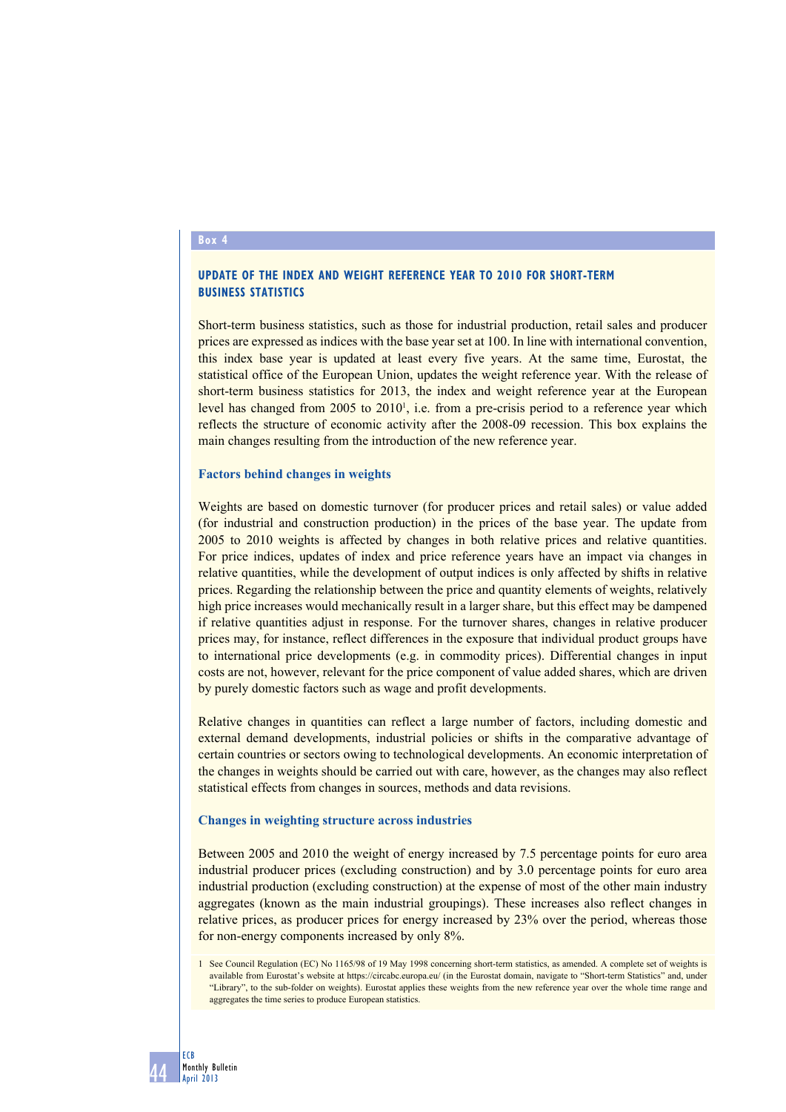#### **Box 4**

# **UPDATE OF THE INDEX AND WEIGHT REFERENCE YEAR TO 2010 FOR SHORT-TERM BUSINESS STATISTICS**

Short-term business statistics, such as those for industrial production, retail sales and producer prices are expressed as indices with the base year set at 100. In line with international convention, this index base year is updated at least every five years. At the same time, Eurostat, the statistical office of the European Union, updates the weight reference year. With the release of short-term business statistics for 2013, the index and weight reference year at the European level has changed from  $2005$  to  $2010<sup>1</sup>$ , i.e. from a pre-crisis period to a reference year which reflects the structure of economic activity after the 2008-09 recession. This box explains the main changes resulting from the introduction of the new reference year.

#### **Factors behind changes in weights**

Weights are based on domestic turnover (for producer prices and retail sales) or value added (for industrial and construction production) in the prices of the base year. The update from 2005 to 2010 weights is affected by changes in both relative prices and relative quantities. For price indices, updates of index and price reference years have an impact via changes in relative quantities, while the development of output indices is only affected by shifts in relative prices. Regarding the relationship between the price and quantity elements of weights, relatively high price increases would mechanically result in a larger share, but this effect may be dampened if relative quantities adjust in response. For the turnover shares, changes in relative producer prices may, for instance, reflect differences in the exposure that individual product groups have to international price developments (e.g. in commodity prices). Differential changes in input costs are not, however, relevant for the price component of value added shares, which are driven by purely domestic factors such as wage and profit developments.

Relative changes in quantities can reflect a large number of factors, including domestic and external demand developments, industrial policies or shifts in the comparative advantage of certain countries or sectors owing to technological developments. An economic interpretation of the changes in weights should be carried out with care, however, as the changes may also reflect statistical effects from changes in sources, methods and data revisions.

#### **Changes in weighting structure across industries**

Between 2005 and 2010 the weight of energy increased by 7.5 percentage points for euro area industrial producer prices (excluding construction) and by 3.0 percentage points for euro area industrial production (excluding construction) at the expense of most of the other main industry aggregates (known as the main industrial groupings). These increases also reflect changes in relative prices, as producer prices for energy increased by 23% over the period, whereas those for non-energy components increased by only 8%.

<sup>1</sup> See Council Regulation (EC) No 1165/98 of 19 May 1998 concerning short-term statistics, as amended. A complete set of weights is available from Eurostat's website at https://circabc.europa.eu/ (in the Eurostat domain, navigate to "Short-term Statistics" and, under "Library", to the sub-folder on weights). Eurostat applies these weights from the new reference year over the whole time range and aggregates the time series to produce European statistics.

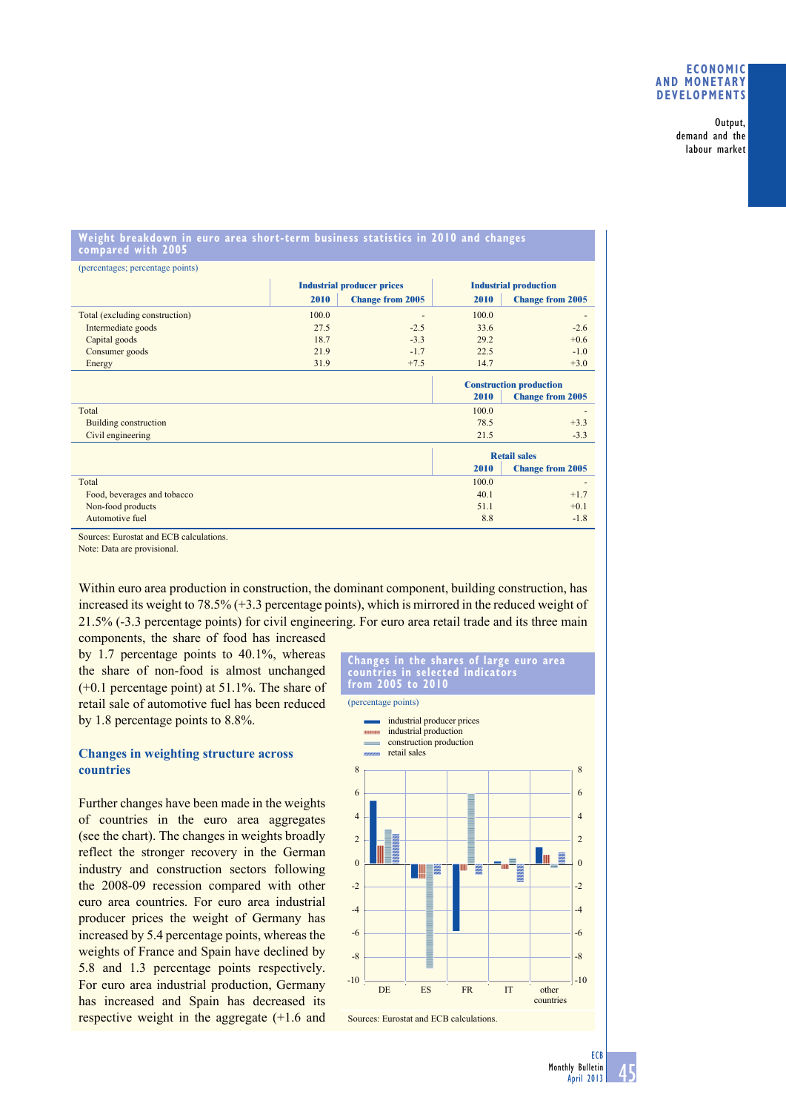#### **eConomiC And monetARy deVeloPmentS**

Output, demand and the labour market

### **Weight breakdown in euro area short-term business statistics in 2010 and changes compared with 2005**

| (percentages; percentage points) |                                   |                         |                                |                              |
|----------------------------------|-----------------------------------|-------------------------|--------------------------------|------------------------------|
|                                  | <b>Industrial producer prices</b> |                         | <b>Industrial production</b>   |                              |
|                                  | 2010                              | <b>Change from 2005</b> | 2010                           | <b>Change from 2005</b>      |
| Total (excluding construction)   | 100.0                             |                         | 100.0                          | $\qquad \qquad \blacksquare$ |
| Intermediate goods               | 27.5                              | $-2.5$                  | 33.6                           | $-2.6$                       |
| Capital goods                    | 18.7                              | $-3.3$                  | 29.2                           | $+0.6$                       |
| Consumer goods                   | 21.9                              | $-1.7$                  | 22.5                           | $-1.0$                       |
| Energy                           | 31.9                              | $+7.5$                  | 14.7                           | $+3.0$                       |
|                                  |                                   |                         | <b>Construction production</b> |                              |
|                                  |                                   |                         | 2010                           | <b>Change from 2005</b>      |
| Total                            |                                   |                         | 100.0                          |                              |
| Building construction            |                                   |                         | 78.5                           | $+3.3$                       |
| Civil engineering                |                                   |                         | 21.5                           | $-3.3$                       |
|                                  |                                   |                         | <b>Retail sales</b>            |                              |
|                                  |                                   |                         | 2010                           | <b>Change from 2005</b>      |
| Total                            |                                   |                         | 100.0                          |                              |
| Food, beverages and tobacco      |                                   |                         | 40.1                           | $+1.7$                       |
| Non-food products                |                                   |                         | 51.1                           | $+0.1$                       |
| Automotive fuel                  |                                   |                         | 8.8                            | $-1.8$                       |

Sources: Eurostat and ECB calculations.

Note: Data are provisional.

Within euro area production in construction, the dominant component, building construction, has increased its weight to 78.5% (+3.3 percentage points), which is mirrored in the reduced weight of 21.5% (-3.3 percentage points) for civil engineering. For euro area retail trade and its three main

components, the share of food has increased by 1.7 percentage points to 40.1%, whereas the share of non-food is almost unchanged (+0.1 percentage point) at 51.1%. The share of retail sale of automotive fuel has been reduced by 1.8 percentage points to 8.8%.

# **Changes in weighting structure across countries**

Further changes have been made in the weights of countries in the euro area aggregates (see the chart). The changes in weights broadly reflect the stronger recovery in the German industry and construction sectors following the 2008-09 recession compared with other euro area countries. For euro area industrial producer prices the weight of Germany has increased by 5.4 percentage points, whereas the weights of France and Spain have declined by 5.8 and 1.3 percentage points respectively. For euro area industrial production, Germany has increased and Spain has decreased its respective weight in the aggregate (+1.6 and

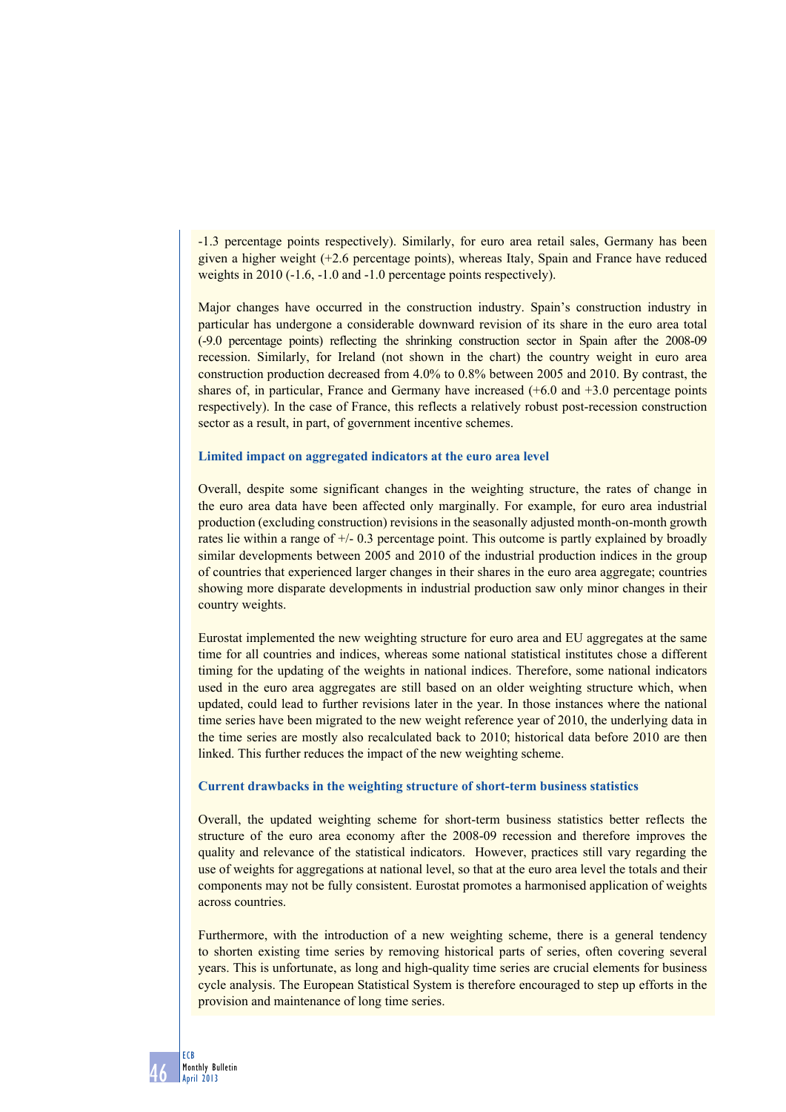-1.3 percentage points respectively). Similarly, for euro area retail sales, Germany has been given a higher weight (+2.6 percentage points), whereas Italy, Spain and France have reduced weights in 2010 (-1.6, -1.0 and -1.0 percentage points respectively).

Major changes have occurred in the construction industry. Spain's construction industry in particular has undergone a considerable downward revision of its share in the euro area total (-9.0 percentage points) reflecting the shrinking construction sector in Spain after the 2008-09 recession. Similarly, for Ireland (not shown in the chart) the country weight in euro area construction production decreased from 4.0% to 0.8% between 2005 and 2010. By contrast, the shares of, in particular, France and Germany have increased (+6.0 and +3.0 percentage points respectively). In the case of France, this reflects a relatively robust post-recession construction sector as a result, in part, of government incentive schemes.

### **Limited impact on aggregated indicators at the euro area level**

Overall, despite some significant changes in the weighting structure, the rates of change in the euro area data have been affected only marginally. For example, for euro area industrial production (excluding construction) revisions in the seasonally adjusted month-on-month growth rates lie within a range of +/- 0.3 percentage point. This outcome is partly explained by broadly similar developments between 2005 and 2010 of the industrial production indices in the group of countries that experienced larger changes in their shares in the euro area aggregate; countries showing more disparate developments in industrial production saw only minor changes in their country weights.

Eurostat implemented the new weighting structure for euro area and EU aggregates at the same time for all countries and indices, whereas some national statistical institutes chose a different timing for the updating of the weights in national indices. Therefore, some national indicators used in the euro area aggregates are still based on an older weighting structure which, when updated, could lead to further revisions later in the year. In those instances where the national time series have been migrated to the new weight reference year of 2010, the underlying data in the time series are mostly also recalculated back to 2010; historical data before 2010 are then linked. This further reduces the impact of the new weighting scheme.

## **Current drawbacks in the weighting structure of short-term business statistics**

Overall, the updated weighting scheme for short-term business statistics better reflects the structure of the euro area economy after the 2008-09 recession and therefore improves the quality and relevance of the statistical indicators. However, practices still vary regarding the use of weights for aggregations at national level, so that at the euro area level the totals and their components may not be fully consistent. Eurostat promotes a harmonised application of weights across countries.

Furthermore, with the introduction of a new weighting scheme, there is a general tendency to shorten existing time series by removing historical parts of series, often covering several years. This is unfortunate, as long and high-quality time series are crucial elements for business cycle analysis. The European Statistical System is therefore encouraged to step up efforts in the provision and maintenance of long time series.